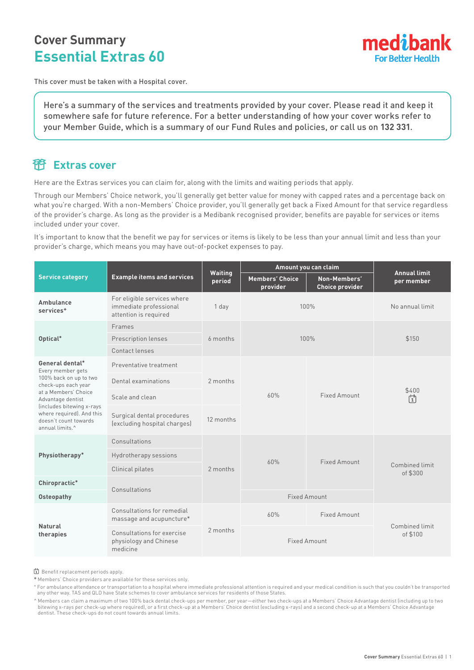# **Cover Summary Essential Extras 60**



This cover must be taken with a Hospital cover.

Here's a summary of the services and treatments provided by your cover. Please read it and keep it somewhere safe for future reference. For a better understanding of how your cover works refer to your Member Guide, which is a summary of our Fund Rules and policies, or call us on **132 331**.

### **Extras cover**

Here are the Extras services you can claim for, along with the limits and waiting periods that apply.

Through our Members' Choice network, you'll generally get better value for money with capped rates and a percentage back on what you're charged. With a non-Members' Choice provider, you'll generally get back a Fixed Amount for that service regardless of the provider's charge. As long as the provider is a Medibank recognised provider, benefits are payable for services or items included under your cover.

It's important to know that the benefit we pay for services or items is likely to be less than your annual limit and less than your provider's charge, which means you may have out-of-pocket expenses to pay.

|                                                                                                                                                                                                                                                      |                                                                                | Amount you can claim<br>Waiting<br><b>Members' Choice</b><br>Non-Members'<br>period<br>provider<br><b>Choice provider</b> |                     | <b>Annual limit</b> |                            |
|------------------------------------------------------------------------------------------------------------------------------------------------------------------------------------------------------------------------------------------------------|--------------------------------------------------------------------------------|---------------------------------------------------------------------------------------------------------------------------|---------------------|---------------------|----------------------------|
| <b>Service category</b>                                                                                                                                                                                                                              | <b>Example items and services</b>                                              |                                                                                                                           |                     |                     | per member                 |
| Ambulance<br>services <sup>+</sup>                                                                                                                                                                                                                   | For eligible services where<br>immediate professional<br>attention is required | 1 day                                                                                                                     |                     | 100%                | No annual limit            |
| Optical*                                                                                                                                                                                                                                             | Frames                                                                         | 6 months                                                                                                                  | 100%                |                     | \$150                      |
|                                                                                                                                                                                                                                                      | Prescription lenses                                                            |                                                                                                                           |                     |                     |                            |
|                                                                                                                                                                                                                                                      | Contact lenses                                                                 |                                                                                                                           |                     |                     |                            |
| General dental*<br>Every member gets<br>100% back on up to two<br>check-ups each year<br>at a Members' Choice<br>Advantage dentist<br>(includes bitewing x-rays<br>where required). And this<br>doesn't count towards<br>annual limits. <sup>^</sup> | Preventative treatment                                                         | 2 months<br>12 months                                                                                                     | 60%                 | Fixed Amount        | \$400<br>尙                 |
|                                                                                                                                                                                                                                                      | Dental examinations                                                            |                                                                                                                           |                     |                     |                            |
|                                                                                                                                                                                                                                                      | Scale and clean                                                                |                                                                                                                           |                     |                     |                            |
|                                                                                                                                                                                                                                                      | Surgical dental procedures<br>(excluding hospital charges)                     |                                                                                                                           |                     |                     |                            |
| Physiotherapy*                                                                                                                                                                                                                                       | Consultations                                                                  | 2 months                                                                                                                  | 60%                 | Fixed Amount        | Combined limit<br>of \$300 |
|                                                                                                                                                                                                                                                      | Hydrotherapy sessions                                                          |                                                                                                                           |                     |                     |                            |
|                                                                                                                                                                                                                                                      | Clinical pilates                                                               |                                                                                                                           |                     |                     |                            |
| Chiropractic*                                                                                                                                                                                                                                        | Consultations                                                                  |                                                                                                                           |                     |                     |                            |
| <b>Osteopathy</b>                                                                                                                                                                                                                                    |                                                                                |                                                                                                                           | <b>Fixed Amount</b> |                     |                            |
| <b>Natural</b><br>therapies                                                                                                                                                                                                                          | Consultations for remedial<br>massage and acupuncture*                         | 2 months                                                                                                                  | 60%                 | <b>Fixed Amount</b> |                            |
|                                                                                                                                                                                                                                                      | Consultations for exercise<br>physiology and Chinese<br>medicine               |                                                                                                                           | <b>Fixed Amount</b> |                     | Combined limit<br>of \$100 |

Benefit replacement periods apply.

**\*** Members' Choice providers are available for these services only.

+ For ambulance attendance or transportation to a hospital where immediate professional attention is required and your medical condition is such that you couldn't be transported any other way. TAS and QLD have State schemes to cover ambulance services for residents of those States.

^ Members can claim a maximum of two 100% back dental check-ups per member, per year—either two check-ups at a Members' Choice Advantage dentist (including up to two bitewing x-rays per check-up where required), or a first check-up at a Members' Choice dentist (excluding x-rays) and a second check-up at a Members' Choice Advantage dentist. These check-ups do not count towards annual limits.